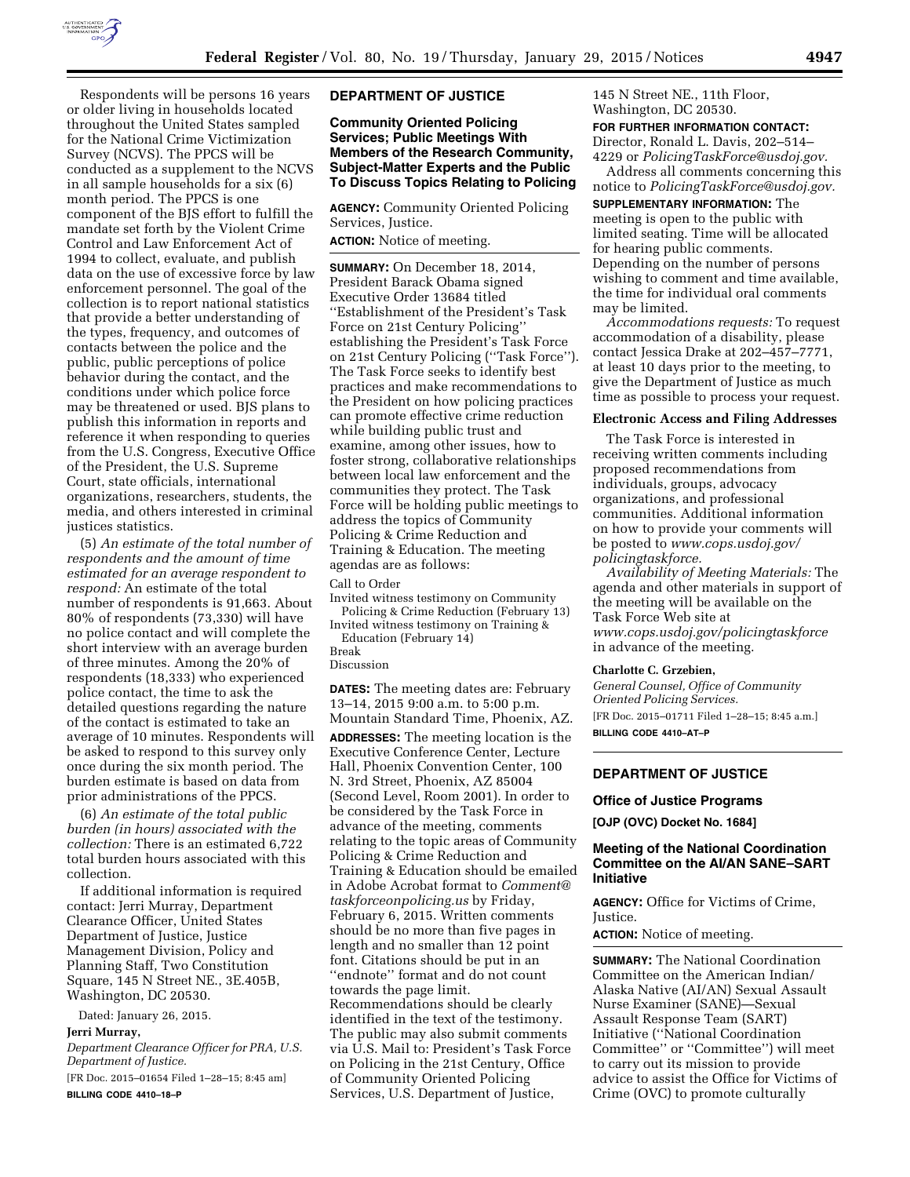

Respondents will be persons 16 years or older living in households located throughout the United States sampled for the National Crime Victimization Survey (NCVS). The PPCS will be conducted as a supplement to the NCVS in all sample households for a six (6) month period. The PPCS is one component of the BJS effort to fulfill the mandate set forth by the Violent Crime Control and Law Enforcement Act of 1994 to collect, evaluate, and publish data on the use of excessive force by law enforcement personnel. The goal of the collection is to report national statistics that provide a better understanding of the types, frequency, and outcomes of contacts between the police and the public, public perceptions of police behavior during the contact, and the conditions under which police force may be threatened or used. BJS plans to publish this information in reports and reference it when responding to queries from the U.S. Congress, Executive Office of the President, the U.S. Supreme Court, state officials, international organizations, researchers, students, the media, and others interested in criminal justices statistics.

(5) *An estimate of the total number of respondents and the amount of time estimated for an average respondent to respond:* An estimate of the total number of respondents is 91,663. About 80% of respondents (73,330) will have no police contact and will complete the short interview with an average burden of three minutes. Among the 20% of respondents (18,333) who experienced police contact, the time to ask the detailed questions regarding the nature of the contact is estimated to take an average of 10 minutes. Respondents will be asked to respond to this survey only once during the six month period. The burden estimate is based on data from prior administrations of the PPCS.

(6) *An estimate of the total public burden (in hours) associated with the collection:* There is an estimated 6,722 total burden hours associated with this collection.

If additional information is required contact: Jerri Murray, Department Clearance Officer, United States Department of Justice, Justice Management Division, Policy and Planning Staff, Two Constitution Square, 145 N Street NE., 3E.405B, Washington, DC 20530.

Dated: January 26, 2015.

## **Jerri Murray,**

*Department Clearance Officer for PRA, U.S. Department of Justice.* 

[FR Doc. 2015–01654 Filed 1–28–15; 8:45 am] **BILLING CODE 4410–18–P** 

### **DEPARTMENT OF JUSTICE**

**Community Oriented Policing Services; Public Meetings With Members of the Research Community, Subject-Matter Experts and the Public To Discuss Topics Relating to Policing** 

**AGENCY:** Community Oriented Policing Services, Justice.

# **ACTION:** Notice of meeting.

**SUMMARY:** On December 18, 2014, President Barack Obama signed Executive Order 13684 titled ''Establishment of the President's Task Force on 21st Century Policing'' establishing the President's Task Force on 21st Century Policing (''Task Force''). The Task Force seeks to identify best practices and make recommendations to the President on how policing practices can promote effective crime reduction while building public trust and examine, among other issues, how to foster strong, collaborative relationships between local law enforcement and the communities they protect. The Task Force will be holding public meetings to address the topics of Community Policing & Crime Reduction and Training & Education. The meeting agendas are as follows:

Call to Order

Invited witness testimony on Community Policing & Crime Reduction (February 13) Invited witness testimony on Training &

Education (February 14)

Break Discussion

**DATES:** The meeting dates are: February 13–14, 2015 9:00 a.m. to 5:00 p.m. Mountain Standard Time, Phoenix, AZ. **ADDRESSES:** The meeting location is the Executive Conference Center, Lecture Hall, Phoenix Convention Center, 100 N. 3rd Street, Phoenix, AZ 85004 (Second Level, Room 2001). In order to be considered by the Task Force in advance of the meeting, comments relating to the topic areas of Community Policing & Crime Reduction and Training & Education should be emailed in Adobe Acrobat format to *[Comment@](mailto:Comment@taskforceonpolicing.us) [taskforceonpolicing.us](mailto:Comment@taskforceonpolicing.us)* by Friday, February 6, 2015. Written comments should be no more than five pages in length and no smaller than 12 point font. Citations should be put in an ''endnote'' format and do not count towards the page limit. Recommendations should be clearly identified in the text of the testimony. The public may also submit comments via U.S. Mail to: President's Task Force on Policing in the 21st Century, Office of Community Oriented Policing Services, U.S. Department of Justice,

145 N Street NE., 11th Floor, Washington, DC 20530.

#### **FOR FURTHER INFORMATION CONTACT:**

Director, Ronald L. Davis, 202–514– 4229 or *[PolicingTaskForce@usdoj.gov.](mailto:PolicingTaskForce@usdoj.gov)* 

Address all comments concerning this notice to *[PolicingTaskForce@usdoj.gov.](mailto:PolicingTaskForce@usdoj.gov)* 

**SUPPLEMENTARY INFORMATION:** The meeting is open to the public with limited seating. Time will be allocated for hearing public comments. Depending on the number of persons wishing to comment and time available, the time for individual oral comments may be limited.

*Accommodations requests:* To request accommodation of a disability, please contact Jessica Drake at 202–457–7771, at least 10 days prior to the meeting, to give the Department of Justice as much time as possible to process your request.

#### **Electronic Access and Filing Addresses**

The Task Force is interested in receiving written comments including proposed recommendations from individuals, groups, advocacy organizations, and professional communities. Additional information on how to provide your comments will be posted to *[www.cops.usdoj.gov/](http://www.cops.usdoj.gov/policingtaskforce) [policingtaskforce.](http://www.cops.usdoj.gov/policingtaskforce)* 

*Availability of Meeting Materials:* The agenda and other materials in support of the meeting will be available on the Task Force Web site at *[www.cops.usdoj.gov/policingtaskforce](http://www.cops.usdoj.gov/policingtaskforce)*  in advance of the meeting.

#### **Charlotte C. Grzebien,**

*General Counsel, Office of Community Oriented Policing Services.*  [FR Doc. 2015–01711 Filed 1–28–15; 8:45 a.m.] **BILLING CODE 4410–AT–P** 

**DEPARTMENT OF JUSTICE** 

### **Office of Justice Programs**

**[OJP (OVC) Docket No. 1684]** 

# **Meeting of the National Coordination Committee on the AI/AN SANE–SART Initiative**

**AGENCY:** Office for Victims of Crime, Justice.

**ACTION:** Notice of meeting.

**SUMMARY:** The National Coordination Committee on the American Indian/ Alaska Native (AI/AN) Sexual Assault Nurse Examiner (SANE)—Sexual Assault Response Team (SART) Initiative (''National Coordination Committee'' or ''Committee'') will meet to carry out its mission to provide advice to assist the Office for Victims of Crime (OVC) to promote culturally